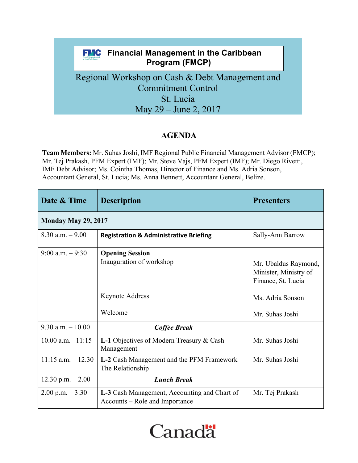## **Financial Management in the Caribbean Program (FMCP)**

Regional Workshop on Cash & Debt Management and Commitment Control St. Lucia May 29 – June 2, 2017

## **AGENDA**

**Team Members:** Mr. Suhas Joshi, IMF Regional Public Financial Management Advisor (FMCP); Mr. Tej Prakash, PFM Expert (IMF); Mr. Steve Vajs, PFM Expert (IMF); Mr. Diego Rivetti, IMF Debt Advisor; Ms. Cointha Thomas, Director of Finance and Ms. Adria Sonson, Accountant General, St. Lucia; Ms. Anna Bennett, Accountant General, Belize.

| Date & Time                | <b>Description</b>                                                                    | <b>Presenters</b>                                                   |  |  |
|----------------------------|---------------------------------------------------------------------------------------|---------------------------------------------------------------------|--|--|
| <b>Monday May 29, 2017</b> |                                                                                       |                                                                     |  |  |
| $8.30$ a.m. $-9.00$        | <b>Registration &amp; Administrative Briefing</b>                                     | Sally-Ann Barrow                                                    |  |  |
| $9:00$ a.m. $-9:30$        | <b>Opening Session</b><br>Inauguration of workshop                                    | Mr. Ubaldus Raymond,<br>Minister, Ministry of<br>Finance, St. Lucia |  |  |
|                            | <b>Keynote Address</b>                                                                | Ms. Adria Sonson                                                    |  |  |
|                            | Welcome                                                                               | Mr. Suhas Joshi                                                     |  |  |
| $9.30$ a.m. $-10.00$       | <b>Coffee Break</b>                                                                   |                                                                     |  |  |
| $10.00$ a.m $- 11:15$      | L-1 Objectives of Modern Treasury & Cash<br>Management                                | Mr. Suhas Joshi                                                     |  |  |
| $11:15$ a.m. $-12.30$      | L-2 Cash Management and the PFM Framework -<br>The Relationship                       | Mr. Suhas Joshi                                                     |  |  |
| $12.30$ p.m. $-2.00$       | <b>Lunch Break</b>                                                                    |                                                                     |  |  |
| $2.00$ p.m. $-3:30$        | <b>L-3</b> Cash Management, Accounting and Chart of<br>Accounts – Role and Importance | Mr. Tej Prakash                                                     |  |  |

## **Canadä**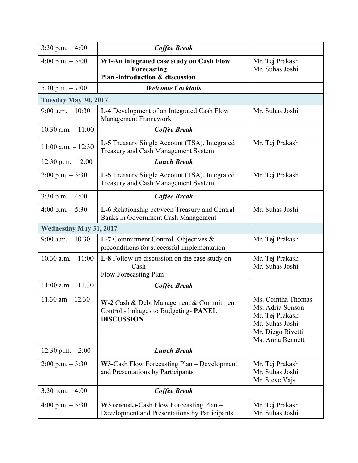| 3:30 p.m. $-4:00$             | <b>Coffee Break</b>                                                                                   |                                                                                                                       |
|-------------------------------|-------------------------------------------------------------------------------------------------------|-----------------------------------------------------------------------------------------------------------------------|
| 4:00 p.m. $-5:00$             | W1-An integrated case study on Cash Flow<br>Forecasting<br>Plan-introduction & discussion             | Mr. Tej Prakash<br>Mr. Suhas Joshi                                                                                    |
| 5.30 p.m. $-7:00$             | <b>Welcome Cocktails</b>                                                                              |                                                                                                                       |
| <b>Tuesday May 30, 2017</b>   |                                                                                                       |                                                                                                                       |
| $9:00$ a.m. $-10:30$          | L-4 Development of an Integrated Cash Flow<br>Management Framework                                    | Mr. Suhas Joshi                                                                                                       |
| $10:30$ a.m. $-11:00$         | <b>Coffee Break</b>                                                                                   |                                                                                                                       |
| $11:00$ a.m. $- 12:30$        | <b>L-5</b> Treasury Single Account (TSA), Integrated<br><b>Treasury and Cash Management System</b>    | Mr. Tej Prakash                                                                                                       |
| $12:30 \text{ p.m.} - 2:00$   | <b>Lunch Break</b>                                                                                    |                                                                                                                       |
| $2:00$ p.m. $-3:30$           | L-5 Treasury Single Account (TSA), Integrated<br><b>Treasury and Cash Management System</b>           | Mr. Tej Prakash                                                                                                       |
| 3:30 p.m. $-4:00$             | <b>Coffee Break</b>                                                                                   |                                                                                                                       |
| 4:00 p.m. $-5:30$             | L-6 Relationship between Treasury and Central<br>Banks in Government Cash Management                  | Mr. Suhas Joshi                                                                                                       |
| <b>Wednesday May 31, 2017</b> |                                                                                                       |                                                                                                                       |
| $9:00$ a.m. $-10.30$          | L-7 Commitment Control-Objectives $\&$<br>preconditions for successful implementation                 | Mr. Tej Prakash                                                                                                       |
| $10.30$ a.m. $-11:00$         | <b>L-8</b> Follow up discussion on the case study on<br>Cash<br>Flow Forecasting Plan                 | Mr. Tej Prakash<br>Mr. Suhas Joshi                                                                                    |
| $11:00$ a.m. $-11.30$         | <b>Coffee Break</b>                                                                                   |                                                                                                                       |
| $11.30$ am $- 12.30$          | W-2 Cash & Debt Management & Commitment<br>Control - linkages to Budgeting-PANEL<br><b>DISCUSSION</b> | Ms. Cointha Thomas<br>Ms. Adria Sonson<br>Mr. Tej Prakash<br>Mr. Suhas Joshi<br>Mr. Diego Rivetti<br>Ms. Anna Bennett |
| $12:30$ p.m. $-2:00$          | <b>Lunch Break</b>                                                                                    |                                                                                                                       |
| $2:00 \text{ p.m.} - 3:30$    | W3-Cash Flow Forecasting Plan – Development<br>and Presentations by Participants                      | Mr. Tej Prakash<br>Mr. Suhas Joshi<br>Mr. Steve Vajs                                                                  |
| $3:30$ p.m. $-4:00$           | <b>Coffee Break</b>                                                                                   |                                                                                                                       |
| $4:00 \text{ p.m.} - 5:30$    | W3 (contd.)-Cash Flow Forecasting Plan -<br>Development and Presentations by Participants             | Mr. Tej Prakash<br>Mr. Suhas Joshi                                                                                    |